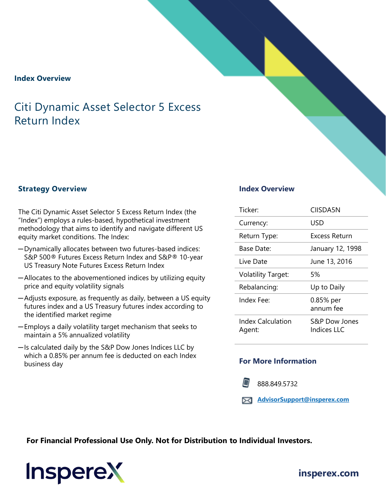## **Index Overview**

# Citi Dynamic Asset Selector 5 Excess Return Index

# **Strategy Overview Index Overview**

The Citi Dynamic Asset Selector 5 Excess Return Index (the "Index") employs a rules-based, hypothetical investment methodology that aims to identify and navigate different US equity market conditions. The Index:

- ─Dynamically allocates between two futures-based indices: S&P 500® Futures Excess Return Index and S&P® 10-year US Treasury Note Futures Excess Return Index
- ─Allocates to the abovementioned indices by utilizing equity price and equity volatility signals
- ─Adjusts exposure, as frequently as daily, between a US equity futures index and a US Treasury futures index according to the identified market regime
- ─Employs a daily volatility target mechanism that seeks to maintain a 5% annualized volatility
- ─Is calculated daily by the S&P Dow Jones Indices LLC by which a 0.85% per annum fee is deducted on each Index business day

| Ticker:                            | <b>CIISDA5N</b>              |
|------------------------------------|------------------------------|
| Currency:                          | USD                          |
| Return Type:                       | Excess Return                |
| Base Date:                         | January 12, 1998             |
| Live Date                          | June 13, 2016                |
| <b>Volatility Target:</b>          | 5%                           |
| Rebalancing:                       | Up to Daily                  |
| Index Fee:                         | 0.85% per<br>annum fee       |
| <b>Index Calculation</b><br>Agent: | S&P Dow Jones<br>Indices LLC |

## **For More Information**

888.849.5732

**[AdvisorSupport@insperex.com](mailto:AdvisorSupport@insperex.com)**

**For Financial Professional Use Only. Not for Distribution to Individual Investors.** 

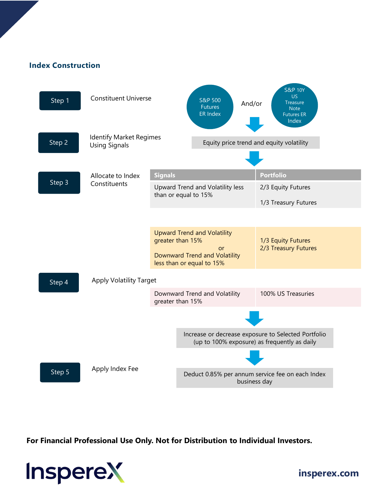# **Index Construction**



**For Financial Professional Use Only. Not for Distribution to Individual Investors.** 



**[insperex.com](http://www.insperex.com/)**